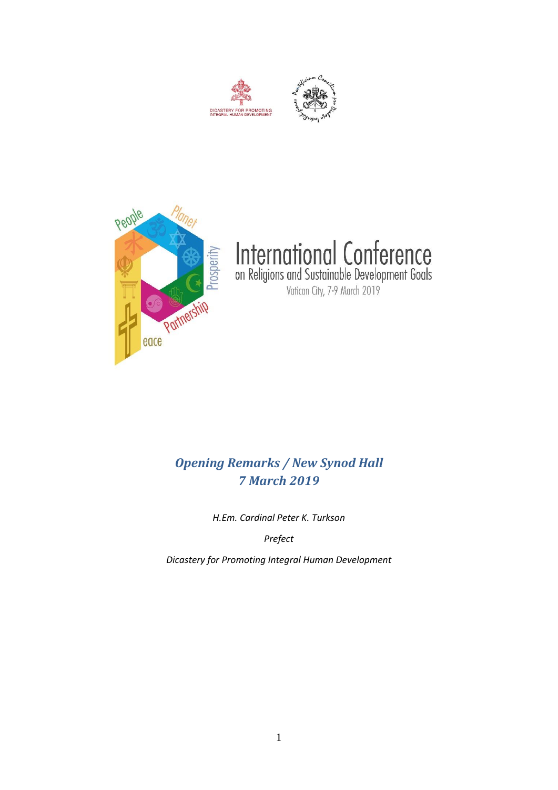





# International Conference<br>on Religions and Sustainable Development Goals<br>Vatican City, 7-9 March 2019

# *Opening Remarks / New Synod Hall 7 March 2019*

*H.Em. Cardinal Peter K. Turkson* 

*Prefect*

*Dicastery for Promoting Integral Human Development*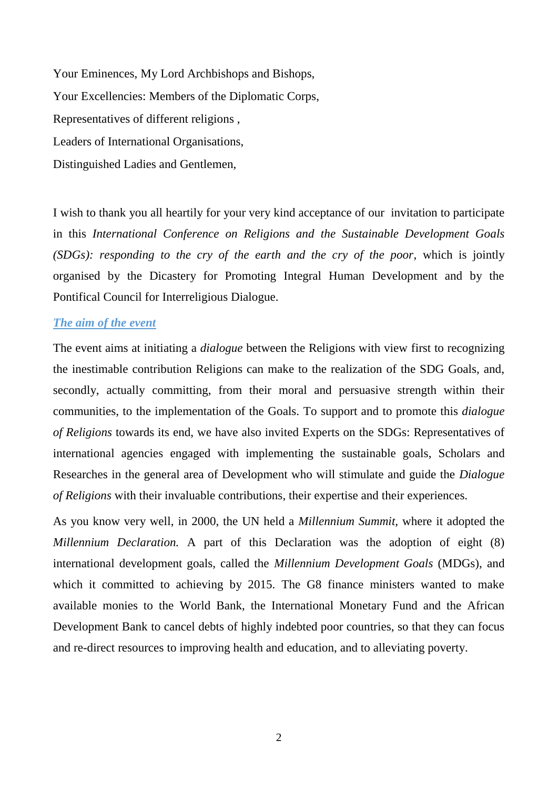Your Eminences, My Lord Archbishops and Bishops, Your Excellencies: Members of the Diplomatic Corps, Representatives of different religions , Leaders of International Organisations, Distinguished Ladies and Gentlemen,

I wish to thank you all heartily for your very kind acceptance of our invitation to participate in this *International Conference on Religions and the Sustainable Development Goals (SDGs): responding to the cry of the earth and the cry of the poor*, which is jointly organised by the Dicastery for Promoting Integral Human Development and by the Pontifical Council for Interreligious Dialogue.

## *The aim of the event*

The event aims at initiating a *dialogue* between the Religions with view first to recognizing the inestimable contribution Religions can make to the realization of the SDG Goals, and, secondly, actually committing, from their moral and persuasive strength within their communities, to the implementation of the Goals. To support and to promote this *dialogue of Religions* towards its end, we have also invited Experts on the SDGs: Representatives of international agencies engaged with implementing the sustainable goals, Scholars and Researches in the general area of Development who will stimulate and guide the *Dialogue of Religions* with their invaluable contributions, their expertise and their experiences.

As you know very well, in 2000, the UN held a *Millennium Summit,* where it adopted the *Millennium Declaration.* A part of this Declaration was the adoption of eight (8) international development goals, called the *Millennium Development Goals* (MDGs), and which it committed to achieving by 2015. The G8 finance ministers wanted to make available monies to the World Bank, the International Monetary Fund and the African Development Bank to cancel debts of highly indebted poor countries, so that they can focus and re-direct resources to improving health and education, and to alleviating poverty.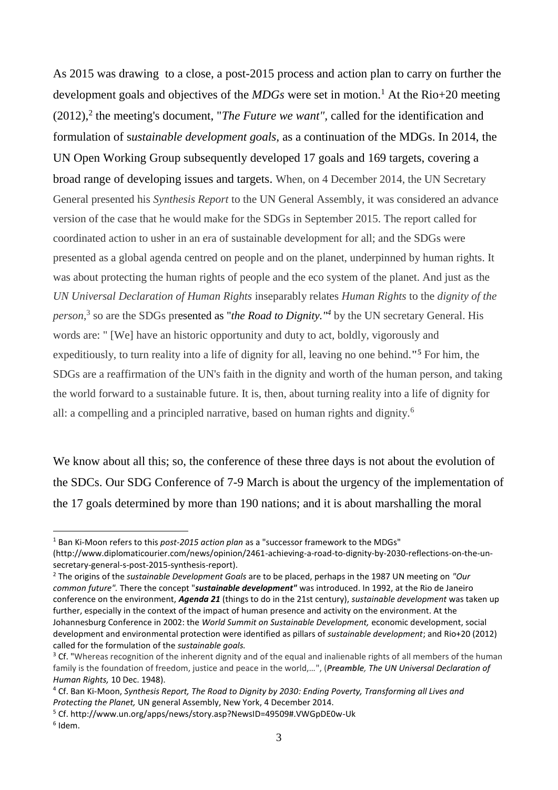As 2015 was drawing to a close, a post-2015 process and action plan to carry on further the development goals and objectives of the *MDGs* were set in motion.<sup>1</sup> At the Rio+20 meeting  $(2012)$ ,<sup>2</sup> the meeting's document, "*The Future we want"*, called for the identification and formulation of s*ustainable development goals,* as a continuation of the MDGs. In 2014, the UN Open Working Group subsequently developed 17 goals and 169 targets, covering a broad range of developing issues and targets. When, on 4 December 2014, the UN Secretary General presented his *Synthesis Report* to the UN General Assembly, it was considered an advance version of the case that he would make for the SDGs in September 2015. The report called for coordinated action to usher in an era of sustainable development for all; and the SDGs were presented as a global agenda centred on people and on the planet, underpinned by human rights. It was about protecting the human rights of people and the eco system of the planet. And just as the *UN Universal Declaration of Human Rights* inseparably relates *Human Rights* to the *dignity of the person*, 3 so are the SDGs presented as "*the Road to Dignity."<sup>4</sup>* by the UN secretary General. His words are: " [We] have an historic opportunity and duty to act, boldly, vigorously and expeditiously, to turn reality into a life of dignity for all, leaving no one behind.**" <sup>5</sup>** For him, the SDGs are a reaffirmation of the UN's faith in the dignity and worth of the human person, and taking the world forward to a sustainable future. It is, then, about turning reality into a life of dignity for all: a compelling and a principled narrative, based on human rights and dignity.<sup>6</sup>

We know about all this; so, the conference of these three days is not about the evolution of the SDCs. Our SDG Conference of 7-9 March is about the urgency of the implementation of the 17 goals determined by more than 190 nations; and it is about marshalling the moral

<u>.</u>

<sup>1</sup> Ban Ki-Moon refers to this *post-2015 action plan* as a "successor framework to the MDGs"

<sup>(</sup>http://www.diplomaticourier.com/news/opinion/2461-achieving-a-road-to-dignity-by-2030-reflections-on-the-unsecretary-general-s-post-2015-synthesis-report).

<sup>2</sup> The origins of the *sustainable Development Goals* are to be placed, perhaps in the 1987 UN meeting on *"Our common future".* There the concept "*sustainable development"* was introduced. In 1992, at the Rio de Janeiro conference on the environment, *Agenda 21* (things to do in the 21st century), *sustainable development* was taken up further, especially in the context of the impact of human presence and activity on the environment. At the Johannesburg Conference in 2002: the *World Summit on Sustainable Development,* economic development, social development and environmental protection were identified as pillars of *sustainable development*; and Rio+20 (2012) called for the formulation of the *sustainable goals.* 

<sup>&</sup>lt;sup>3</sup> Cf. "Whereas recognition of the inherent dignity and of the equal and inalienable rights of all members of the human family is the foundation of freedom, justice and peace in the world,…", (*Preamble, The UN Universal Declaration of Human Rights,* 10 Dec. 1948).

<sup>4</sup> Cf. Ban Ki-Moon, *Synthesis Report, The Road to Dignity by 2030: Ending Poverty, Transforming all Lives and Protecting the Planet,* UN general Assembly, New York, 4 December 2014.

<sup>5</sup> Cf. http://www.un.org/apps/news/story.asp?NewsID=49509#.VWGpDE0w-Uk

<sup>6</sup> Idem.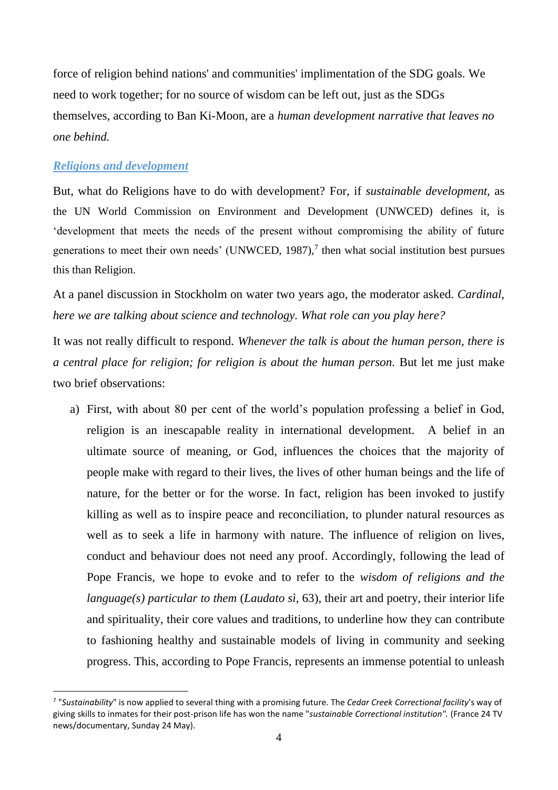force of religion behind nations' and communities' implimentation of the SDG goals. We need to work together; for no source of wisdom can be left out, just as the SDGs themselves, according to Ban Ki-Moon, are a *human development narrative that leaves no one behind.* 

# *Religions and development*

<u>.</u>

But, what do Religions have to do with development? For, if *sustainable development,* as the UN World Commission on Environment and Development (UNWCED) defines it, is 'development that meets the needs of the present without compromising the ability of future generations to meet their own needs' (UNWCED, 1987), $7$  then what social institution best pursues this than Religion.

At a panel discussion in Stockholm on water two years ago, the moderator asked. *Cardinal, here we are talking about science and technology. What role can you play here?* 

It was not really difficult to respond. *Whenever the talk is about the human person, there is a central place for religion; for religion is about the human person.* But let me just make two brief observations:

a) First, with about 80 per cent of the world's population professing a belief in God, religion is an inescapable reality in international development. A belief in an ultimate source of meaning, or God, influences the choices that the majority of people make with regard to their lives, the lives of other human beings and the life of nature, for the better or for the worse. In fact, religion has been invoked to justify killing as well as to inspire peace and reconciliation, to plunder natural resources as well as to seek a life in harmony with nature. The influence of religion on lives, conduct and behaviour does not need any proof. Accordingly, following the lead of Pope Francis, we hope to evoke and to refer to the *wisdom of religions and the language(s) particular to them* (*Laudato sì*, 63), their art and poetry, their interior life and spirituality, their core values and traditions, to underline how they can contribute to fashioning healthy and sustainable models of living in community and seeking progress. This, according to Pope Francis, represents an immense potential to unleash

<sup>7</sup> "*Sustainability*" is now applied to several thing with a promising future. The *Cedar Creek Correctional facility*'s way of giving skills to inmates for their post-prison life has won the name "*sustainable Correctional institution".* (France 24 TV news/documentary, Sunday 24 May).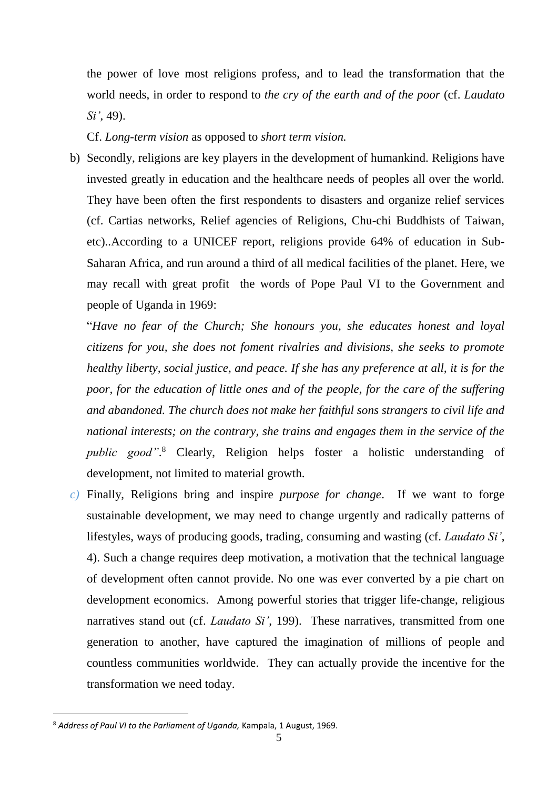the power of love most religions profess, and to lead the transformation that the world needs, in order to respond to *the cry of the earth and of the poor* (cf. *Laudato Si'*, 49).

Cf. *Long-term vision* as opposed to *short term vision.*

b) Secondly, religions are key players in the development of humankind. Religions have invested greatly in education and the healthcare needs of peoples all over the world. They have been often the first respondents to disasters and organize relief services (cf. Cartias networks, Relief agencies of Religions, Chu-chi Buddhists of Taiwan, etc)..According to a UNICEF report, religions provide 64% of education in Sub-Saharan Africa, and run around a third of all medical facilities of the planet. Here, we may recall with great profit the words of Pope Paul VI to the Government and people of Uganda in 1969:

"*Have no fear of the Church; She honours you, she educates honest and loyal citizens for you, she does not foment rivalries and divisions, she seeks to promote healthy liberty, social justice, and peace. If she has any preference at all, it is for the poor, for the education of little ones and of the people, for the care of the suffering and abandoned. The church does not make her faithful sons strangers to civil life and national interests; on the contrary, she trains and engages them in the service of the public good"*. <sup>8</sup> Clearly, Religion helps foster a holistic understanding of development, not limited to material growth.

*c)* Finally, Religions bring and inspire *purpose for change*. If we want to forge sustainable development, we may need to change urgently and radically patterns of lifestyles, ways of producing goods, trading, consuming and wasting (cf. *Laudato Si'*, 4). Such a change requires deep motivation, a motivation that the technical language of development often cannot provide. No one was ever converted by a pie chart on development economics. Among powerful stories that trigger life-change, religious narratives stand out (cf. *Laudato Si'*, 199). These narratives, transmitted from one generation to another, have captured the imagination of millions of people and countless communities worldwide. They can actually provide the incentive for the transformation we need today.

<u>.</u>

<sup>8</sup> *Address of Paul VI to the Parliament of Uganda,* Kampala, 1 August, 1969.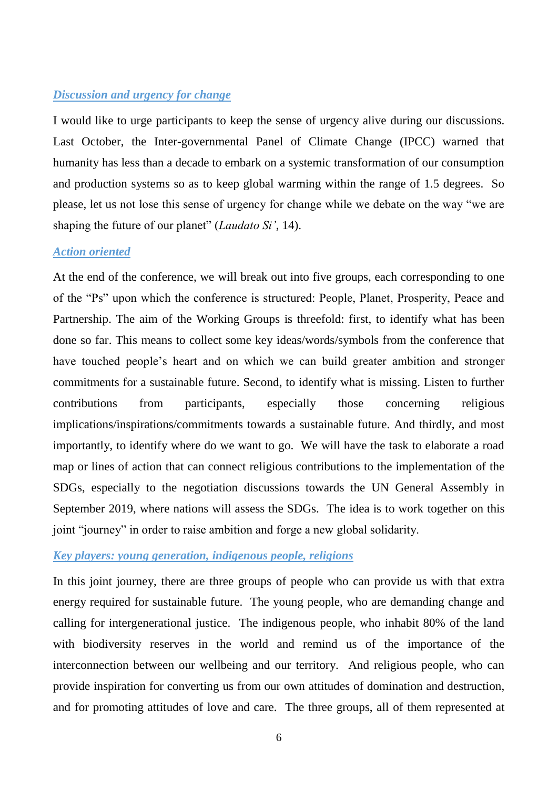# *Discussion and urgency for change*

I would like to urge participants to keep the sense of urgency alive during our discussions. Last October, the Inter-governmental Panel of Climate Change (IPCC) warned that humanity has less than a decade to embark on a systemic transformation of our consumption and production systems so as to keep global warming within the range of 1.5 degrees. So please, let us not lose this sense of urgency for change while we debate on the way "we are shaping the future of our planet" (*Laudato Si'*, 14).

#### *Action oriented*

At the end of the conference, we will break out into five groups, each corresponding to one of the "Ps" upon which the conference is structured: People, Planet, Prosperity, Peace and Partnership. The aim of the Working Groups is threefold: first, to identify what has been done so far. This means to collect some key ideas/words/symbols from the conference that have touched people's heart and on which we can build greater ambition and stronger commitments for a sustainable future. Second, to identify what is missing. Listen to further contributions from participants, especially those concerning religious implications/inspirations/commitments towards a sustainable future. And thirdly, and most importantly, to identify where do we want to go. We will have the task to elaborate a road map or lines of action that can connect religious contributions to the implementation of the SDGs, especially to the negotiation discussions towards the UN General Assembly in September 2019, where nations will assess the SDGs. The idea is to work together on this joint "journey" in order to raise ambition and forge a new global solidarity.

## *Key players: young generation, indigenous people, religions*

In this joint journey, there are three groups of people who can provide us with that extra energy required for sustainable future. The young people, who are demanding change and calling for intergenerational justice. The indigenous people, who inhabit 80% of the land with biodiversity reserves in the world and remind us of the importance of the interconnection between our wellbeing and our territory. And religious people, who can provide inspiration for converting us from our own attitudes of domination and destruction, and for promoting attitudes of love and care. The three groups, all of them represented at